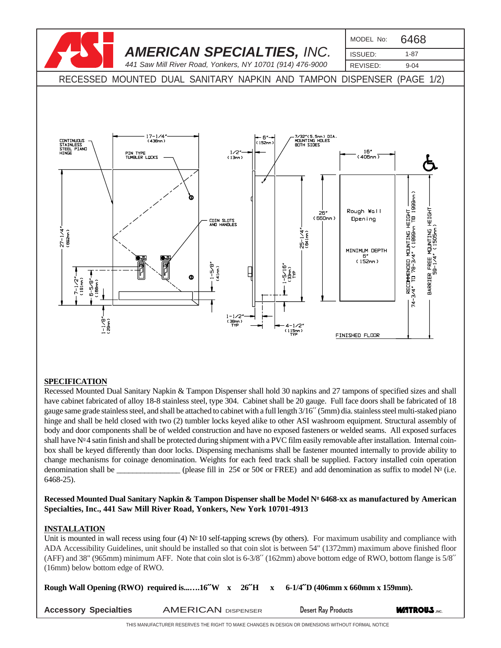

## **SPECIFICATION**

Recessed Mounted Dual Sanitary Napkin & Tampon Dispenser shall hold 30 napkins and 27 tampons of specified sizes and shall have cabinet fabricated of alloy 18-8 stainless steel, type 304. Cabinet shall be 20 gauge. Full face doors shall be fabricated of 18 gauge same grade stainless steel, and shall be attached to cabinet with a full length 3/16′′ (5mm) dia. stainless steel multi-staked piano hinge and shall be held closed with two (2) tumbler locks keyed alike to other ASI washroom equipment. Structural assembly of body and door components shall be of welded construction and have no exposed fasteners or welded seams. All exposed surfaces shall have  $N^{\circ}4$  satin finish and shall be protected during shipment with a PVC film easily removable after installation. Internal coinbox shall be keyed differently than door locks. Dispensing mechanisms shall be fastener mounted internally to provide ability to change mechanisms for coinage denomination. Weights for each feed track shall be supplied. Factory installed coin operation denomination shall be \_\_\_\_\_\_\_\_\_\_\_\_\_\_\_\_(please fill in 25¢ or 50¢ or FREE) and add denomination as suffix to model  $N<sup>°</sup>$  (i.e. 6468-25).

**Recessed Mounted Dual Sanitary Napkin & Tampon Dispenser shall be Model No 6468-xx as manufactured by American Specialties, Inc., 441 Saw Mill River Road, Yonkers, New York 10701-4913**

## **INSTALLATION**

Unit is mounted in wall recess using four (4)  $N^{\circ}$  10 self-tapping screws (by others). For maximum usability and compliance with ADA Accessibility Guidelines, unit should be installed so that coin slot is between 54" (1372mm) maximum above finished floor (AFF) and 38" (965mm) minimum AFF. Note that coin slot is 6-3/8′′ (162mm) above bottom edge of RWO, bottom flange is 5/8′′ (16mm) below bottom edge of RWO.

| <b>Accessory Specialties</b> | <b>AMERICAN DISPENSER</b> | <b>Desert Ray Products</b> | <b>WATROUS ,INC.</b> |
|------------------------------|---------------------------|----------------------------|----------------------|
|                              |                           |                            |                      |